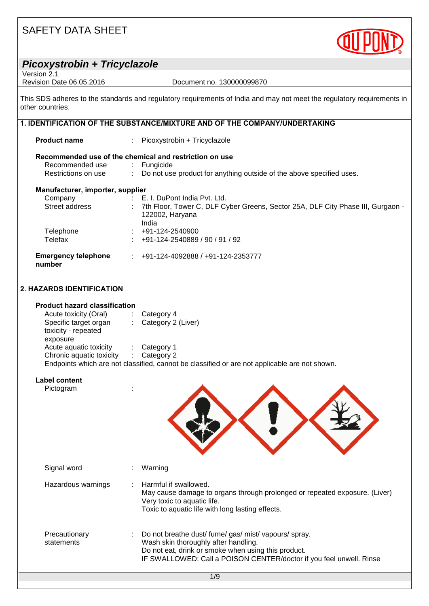

| Picoxystrobin + Tricyclazole<br>Version 2.1              |                                                                                                                        |
|----------------------------------------------------------|------------------------------------------------------------------------------------------------------------------------|
| Revision Date 06.05.2016                                 | Document no. 130000099870                                                                                              |
| other countries.                                         | This SDS adheres to the standards and regulatory requirements of India and may not meet the regulatory requirements in |
|                                                          | 1. IDENTIFICATION OF THE SUBSTANCE/MIXTURE AND OF THE COMPANY/UNDERTAKING                                              |
| <b>Product name</b>                                      | Picoxystrobin + Tricyclazole                                                                                           |
|                                                          | Recommended use of the chemical and restriction on use                                                                 |
| Recommended use                                          | Fungicide                                                                                                              |
| Restrictions on use                                      | $\mathcal{L}^{\mathcal{L}}$<br>Do not use product for anything outside of the above specified uses.                    |
| Manufacturer, importer, supplier                         |                                                                                                                        |
| Company<br><b>Contract Contract</b>                      | E. I. DuPont India Pvt. Ltd.                                                                                           |
| Street address                                           | 7th Floor, Tower C, DLF Cyber Greens, Sector 25A, DLF City Phase III, Gurgaon -<br>122002, Haryana<br>India            |
| Telephone                                                | $\div$ +91-124-2540900                                                                                                 |
| Telefax                                                  | +91-124-2540889 / 90 / 91 / 92                                                                                         |
| <b>Emergency telephone</b><br>number                     | $\div$ +91-124-4092888 / +91-124-2353777                                                                               |
| 2. HAZARDS IDENTIFICATION                                |                                                                                                                        |
| <b>Product hazard classification</b>                     |                                                                                                                        |
| Acute toxicity (Oral)                                    | $\therefore$ Category 4                                                                                                |
| Specific target organ<br>toxicity - repeated<br>exposure | Category 2 (Liver)<br>$\mathcal{L}_{\mathrm{max}}$                                                                     |
| Acute aquatic toxicity                                   | Category 1                                                                                                             |
| Chronic aquatic toxicity : Category 2                    | Endpoints which are not classified, cannot be classified or are not applicable are not shown.                          |
| <b>Label content</b>                                     |                                                                                                                        |
| Pictogram                                                |                                                                                                                        |
|                                                          |                                                                                                                        |
|                                                          |                                                                                                                        |
|                                                          |                                                                                                                        |
|                                                          |                                                                                                                        |
|                                                          |                                                                                                                        |

| Signal word                 | Warning                                                                                                                                                                                                                     |
|-----------------------------|-----------------------------------------------------------------------------------------------------------------------------------------------------------------------------------------------------------------------------|
| Hazardous warnings          | Harmful if swallowed.<br>May cause damage to organs through prolonged or repeated exposure. (Liver)<br>Very toxic to aquatic life.<br>Toxic to aquatic life with long lasting effects.                                      |
| Precautionary<br>statements | Do not breathe dust/ fume/ gas/ mist/ vapours/ spray.<br>Wash skin thoroughly after handling.<br>Do not eat, drink or smoke when using this product.<br>IF SWALLOWED: Call a POISON CENTER/doctor if you feel unwell. Rinse |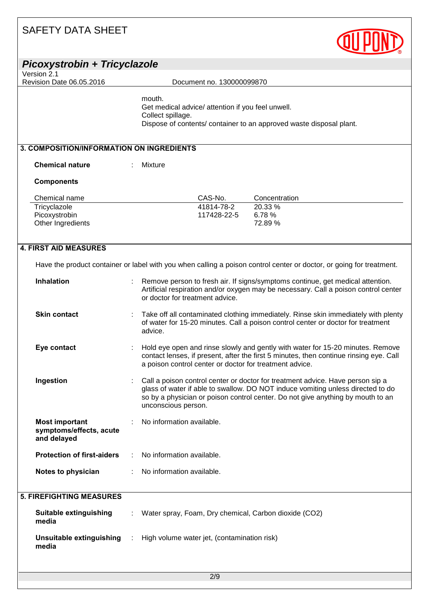| SAFETY DATA SHEET                                               |                                                                                                                                                                                                                                                                             |  |
|-----------------------------------------------------------------|-----------------------------------------------------------------------------------------------------------------------------------------------------------------------------------------------------------------------------------------------------------------------------|--|
| Picoxystrobin + Tricyclazole                                    |                                                                                                                                                                                                                                                                             |  |
| Version 2.1<br>Revision Date 06.05.2016                         | Document no. 130000099870                                                                                                                                                                                                                                                   |  |
|                                                                 | mouth.<br>Get medical advice/ attention if you feel unwell.<br>Collect spillage.<br>Dispose of contents/ container to an approved waste disposal plant.                                                                                                                     |  |
| 3. COMPOSITION/INFORMATION ON INGREDIENTS                       |                                                                                                                                                                                                                                                                             |  |
| <b>Chemical nature</b>                                          | <b>Mixture</b>                                                                                                                                                                                                                                                              |  |
| <b>Components</b>                                               |                                                                                                                                                                                                                                                                             |  |
| Chemical name                                                   | CAS-No.<br>Concentration                                                                                                                                                                                                                                                    |  |
| Tricyclazole                                                    | 41814-78-2<br>20.33 %                                                                                                                                                                                                                                                       |  |
| Picoxystrobin                                                   | 117428-22-5<br>6.78%                                                                                                                                                                                                                                                        |  |
| Other Ingredients                                               | 72.89%                                                                                                                                                                                                                                                                      |  |
| <b>4. FIRST AID MEASURES</b>                                    | Have the product container or label with you when calling a poison control center or doctor, or going for treatment.                                                                                                                                                        |  |
|                                                                 |                                                                                                                                                                                                                                                                             |  |
| <b>Inhalation</b>                                               | Remove person to fresh air. If signs/symptoms continue, get medical attention.<br>Artificial respiration and/or oxygen may be necessary. Call a poison control center<br>or doctor for treatment advice.                                                                    |  |
| <b>Skin contact</b>                                             | Take off all contaminated clothing immediately. Rinse skin immediately with plenty<br>of water for 15-20 minutes. Call a poison control center or doctor for treatment<br>advice.                                                                                           |  |
| Eye contact                                                     | Hold eye open and rinse slowly and gently with water for 15-20 minutes. Remove<br>contact lenses, if present, after the first 5 minutes, then continue rinsing eye. Call<br>a poison control center or doctor for treatment advice.                                         |  |
| Ingestion                                                       | Call a poison control center or doctor for treatment advice. Have person sip a<br>glass of water if able to swallow. DO NOT induce vomiting unless directed to do<br>so by a physician or poison control center. Do not give anything by mouth to an<br>unconscious person. |  |
| <b>Most important</b><br>symptoms/effects, acute<br>and delayed | No information available.                                                                                                                                                                                                                                                   |  |
| <b>Protection of first-aiders</b>                               | No information available.                                                                                                                                                                                                                                                   |  |
| Notes to physician                                              | No information available.                                                                                                                                                                                                                                                   |  |
| <b>5. FIREFIGHTING MEASURES</b>                                 |                                                                                                                                                                                                                                                                             |  |
| <b>Suitable extinguishing</b><br>media                          | Water spray, Foam, Dry chemical, Carbon dioxide (CO2)                                                                                                                                                                                                                       |  |
| <b>Unsuitable extinguishing</b><br>media                        | High volume water jet, (contamination risk)                                                                                                                                                                                                                                 |  |
|                                                                 |                                                                                                                                                                                                                                                                             |  |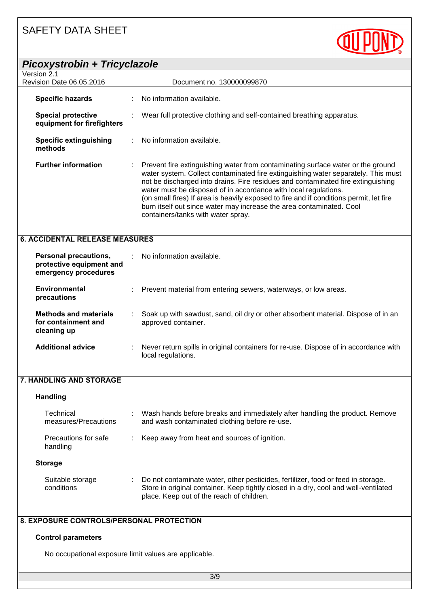

**Storage**

### **8. EXPOSURE CONTROLS/PERSONAL PROTECTION**

#### **Control parameters**

No occupational exposure limit values are applicable.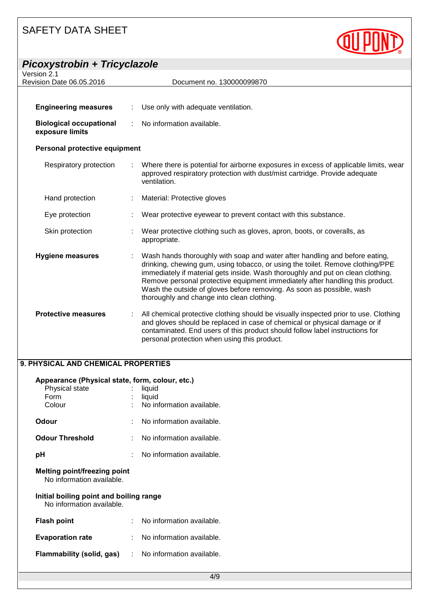| <b>Picoxystrobin + Tricyclazole</b>               |   |                                                                                                                                                                                                                                                                                                                                                                                                                                                          |
|---------------------------------------------------|---|----------------------------------------------------------------------------------------------------------------------------------------------------------------------------------------------------------------------------------------------------------------------------------------------------------------------------------------------------------------------------------------------------------------------------------------------------------|
| Version 2.1<br>Revision Date 06.05.2016           |   | Document no. 130000099870                                                                                                                                                                                                                                                                                                                                                                                                                                |
|                                                   |   |                                                                                                                                                                                                                                                                                                                                                                                                                                                          |
| <b>Engineering measures</b>                       |   | Use only with adequate ventilation.                                                                                                                                                                                                                                                                                                                                                                                                                      |
| <b>Biological occupational</b><br>exposure limits | ÷ | No information available.                                                                                                                                                                                                                                                                                                                                                                                                                                |
| Personal protective equipment                     |   |                                                                                                                                                                                                                                                                                                                                                                                                                                                          |
| Respiratory protection                            |   | Where there is potential for airborne exposures in excess of applicable limits, wear<br>approved respiratory protection with dust/mist cartridge. Provide adequate<br>ventilation.                                                                                                                                                                                                                                                                       |
| Hand protection                                   |   | Material: Protective gloves                                                                                                                                                                                                                                                                                                                                                                                                                              |
| Eye protection                                    |   | Wear protective eyewear to prevent contact with this substance.                                                                                                                                                                                                                                                                                                                                                                                          |
| Skin protection                                   |   | Wear protective clothing such as gloves, apron, boots, or coveralls, as<br>appropriate.                                                                                                                                                                                                                                                                                                                                                                  |
| <b>Hygiene measures</b>                           |   | Wash hands thoroughly with soap and water after handling and before eating,<br>drinking, chewing gum, using tobacco, or using the toilet. Remove clothing/PPE<br>immediately if material gets inside. Wash thoroughly and put on clean clothing.<br>Remove personal protective equipment immediately after handling this product.<br>Wash the outside of gloves before removing. As soon as possible, wash<br>thoroughly and change into clean clothing. |
| <b>Protective measures</b>                        |   | All chemical protective clothing should be visually inspected prior to use. Clothing<br>and gloves should be replaced in case of chemical or physical damage or if<br>contaminated. End users of this product should follow label instructions for<br>personal protection when using this product.                                                                                                                                                       |

**QUPOND** 

#### **9. PHYSICAL AND CHEMICAL PROPERTIES**

| Appearance (Physical state, form, colour, etc.)<br>Physical state<br>Form<br>Colour |  | liquid<br>liquid<br>No information available. |  |
|-------------------------------------------------------------------------------------|--|-----------------------------------------------|--|
| Odour                                                                               |  | No information available.                     |  |
| <b>Odour Threshold</b>                                                              |  | No information available.                     |  |
| рH                                                                                  |  | No information available.                     |  |
| Melting point/freezing point<br>No information available.                           |  |                                               |  |
| Initial boiling point and boiling range<br>No information available.                |  |                                               |  |
| <b>Flash point</b>                                                                  |  | No information available.                     |  |
| <b>Evaporation rate</b>                                                             |  | : No information available.                   |  |
| Flammability (solid, gas)                                                           |  | : No information available.                   |  |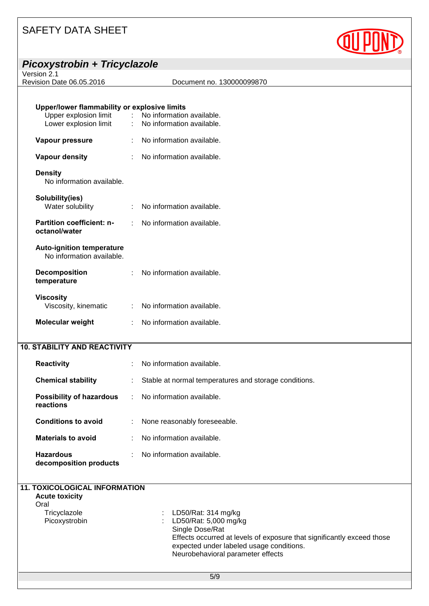| OAFETT DATA ONEET                                                                              |                                                                                   |  |
|------------------------------------------------------------------------------------------------|-----------------------------------------------------------------------------------|--|
| Picoxystrobin + Tricyclazole                                                                   |                                                                                   |  |
| Version 2.1<br>Revision Date 06.05.2016                                                        | Document no. 130000099870                                                         |  |
|                                                                                                |                                                                                   |  |
| Upper/lower flammability or explosive limits<br>Upper explosion limit<br>Lower explosion limit | $\sim 100$ M $_{\odot}$<br>No information available.<br>No information available. |  |
| Vapour pressure                                                                                | No information available.                                                         |  |
| <b>Vapour density</b>                                                                          | No information available.                                                         |  |
| <b>Density</b><br>No information available.                                                    |                                                                                   |  |
| Solubility(ies)<br>Water solubility                                                            | No information available.                                                         |  |
| Partition coefficient: n-<br>octanol/water                                                     | No information available.                                                         |  |
| <b>Auto-ignition temperature</b><br>No information available.                                  |                                                                                   |  |
| <b>Decomposition</b><br>temperature                                                            | No information available.                                                         |  |
| <b>Viscosity</b><br>Viscosity, kinematic                                                       | No information available.                                                         |  |
| Molecular weight                                                                               | No information available.<br>÷                                                    |  |
| <b>10. STABILITY AND REACTIVITY</b>                                                            |                                                                                   |  |
| <b>Reactivity</b>                                                                              | No information available.                                                         |  |
| <b>Chemical stability</b>                                                                      | Stable at normal temperatures and storage conditions.                             |  |
| <b>Possibility of hazardous</b><br>reactions                                                   | No information available.                                                         |  |
| <b>Conditions to avoid</b>                                                                     | None reasonably foreseeable.                                                      |  |
| <b>Materials to avoid</b>                                                                      | No information available.                                                         |  |
| <b>Hazardous</b><br>decomposition products                                                     | No information available.                                                         |  |
| <b>11. TOXICOLOGICAL INFORMATION</b><br><b>Acute toxicity</b>                                  |                                                                                   |  |
| Oral<br>Tricyclazole                                                                           | LD50/Rat: 314 mg/kg                                                               |  |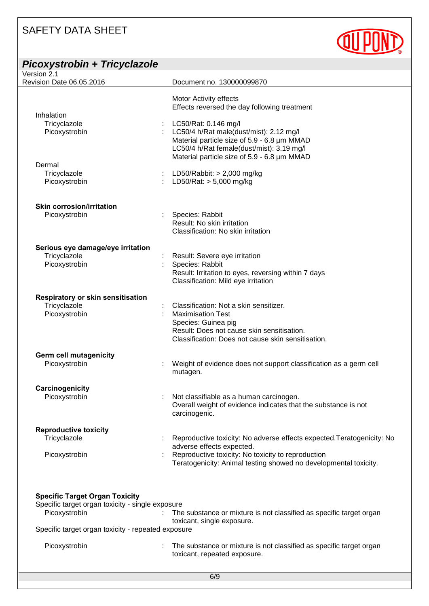| Picoxystrobin + Tricyclazole                 |                                                                                 |
|----------------------------------------------|---------------------------------------------------------------------------------|
| Version 2.1                                  |                                                                                 |
| Revision Date 06.05.2016                     | Document no. 130000099870                                                       |
|                                              | Motor Activity effects<br>Effects reversed the day following treatment          |
| Inhalation                                   |                                                                                 |
| Tricyclazole                                 | LC50/Rat: 0.146 mg/l                                                            |
| Picoxystrobin                                | LC50/4 h/Rat male(dust/mist): 2.12 mg/l                                         |
|                                              | Material particle size of 5.9 - 6.8 µm MMAD                                     |
|                                              | LC50/4 h/Rat female(dust/mist): 3.19 mg/l                                       |
| Dermal                                       | Material particle size of 5.9 - 6.8 µm MMAD                                     |
| Tricyclazole                                 | LD50/Rabbit: $> 2,000$ mg/kg                                                    |
| Picoxystrobin                                | LD50/Rat: $> 5,000$ mg/kg                                                       |
|                                              |                                                                                 |
| <b>Skin corrosion/irritation</b>             |                                                                                 |
| Picoxystrobin                                | Species: Rabbit                                                                 |
|                                              | Result: No skin irritation                                                      |
|                                              | Classification: No skin irritation                                              |
| Serious eye damage/eye irritation            |                                                                                 |
| Tricyclazole                                 | Result: Severe eye irritation                                                   |
| Picoxystrobin                                | Species: Rabbit                                                                 |
|                                              | Result: Irritation to eyes, reversing within 7 days                             |
|                                              | Classification: Mild eye irritation                                             |
| Respiratory or skin sensitisation            |                                                                                 |
| Tricyclazole                                 | Classification: Not a skin sensitizer.                                          |
| Picoxystrobin                                | <b>Maximisation Test</b>                                                        |
|                                              | Species: Guinea pig                                                             |
|                                              | Result: Does not cause skin sensitisation.                                      |
|                                              | Classification: Does not cause skin sensitisation.                              |
| <b>Germ cell mutagenicity</b>                |                                                                                 |
| Picoxystrobin                                | Weight of evidence does not support classification as a germ cell               |
|                                              | mutagen.                                                                        |
| Carcinogenicity                              |                                                                                 |
| Picoxystrobin                                | Not classifiable as a human carcinogen.                                         |
|                                              | Overall weight of evidence indicates that the substance is not<br>carcinogenic. |
|                                              |                                                                                 |
| <b>Reproductive toxicity</b><br>Tricyclazole | Reproductive toxicity: No adverse effects expected. Teratogenicity: No          |
|                                              | adverse effects expected.                                                       |
| Picoxystrobin                                | Reproductive toxicity: No toxicity to reproduction                              |
|                                              | Teratogenicity: Animal testing showed no developmental toxicity.                |

## **Specific Target Organ Toxicity**

| Specific target organ toxicity - single exposure   |                                                                                                       |
|----------------------------------------------------|-------------------------------------------------------------------------------------------------------|
| Picoxystrobin                                      | : The substance or mixture is not classified as specific target organ<br>toxicant, single exposure.   |
| Specific target organ toxicity - repeated exposure |                                                                                                       |
| Picoxystrobin                                      | : The substance or mixture is not classified as specific target organ<br>toxicant, repeated exposure. |

6/9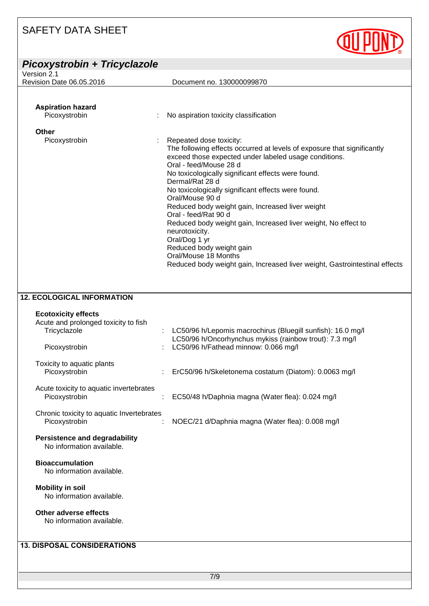| Picoxystrobin + Tricyclazole                                                                        |                                                                                                                                                                                                                                                                                                                                                                                                                                                                                                                                                                                                                                                            |
|-----------------------------------------------------------------------------------------------------|------------------------------------------------------------------------------------------------------------------------------------------------------------------------------------------------------------------------------------------------------------------------------------------------------------------------------------------------------------------------------------------------------------------------------------------------------------------------------------------------------------------------------------------------------------------------------------------------------------------------------------------------------------|
| Version 2.1                                                                                         |                                                                                                                                                                                                                                                                                                                                                                                                                                                                                                                                                                                                                                                            |
| Revision Date 06.05.2016                                                                            | Document no. 130000099870                                                                                                                                                                                                                                                                                                                                                                                                                                                                                                                                                                                                                                  |
| <b>Aspiration hazard</b><br>Picoxystrobin                                                           | No aspiration toxicity classification                                                                                                                                                                                                                                                                                                                                                                                                                                                                                                                                                                                                                      |
|                                                                                                     |                                                                                                                                                                                                                                                                                                                                                                                                                                                                                                                                                                                                                                                            |
| Other<br>Picoxystrobin                                                                              | Repeated dose toxicity:<br>The following effects occurred at levels of exposure that significantly<br>exceed those expected under labeled usage conditions.<br>Oral - feed/Mouse 28 d<br>No toxicologically significant effects were found.<br>Dermal/Rat 28 d<br>No toxicologically significant effects were found.<br>Oral/Mouse 90 d<br>Reduced body weight gain, Increased liver weight<br>Oral - feed/Rat 90 d<br>Reduced body weight gain, Increased liver weight, No effect to<br>neurotoxicity.<br>Oral/Dog 1 yr<br>Reduced body weight gain<br>Oral/Mouse 18 Months<br>Reduced body weight gain, Increased liver weight, Gastrointestinal effects |
| <b>12. ECOLOGICAL INFORMATION</b>                                                                   |                                                                                                                                                                                                                                                                                                                                                                                                                                                                                                                                                                                                                                                            |
| <b>Ecotoxicity effects</b><br>Acute and prolonged toxicity to fish<br>Tricyclazole<br>Picoxystrobin | LC50/96 h/Lepomis macrochirus (Bluegill sunfish): 16.0 mg/l<br>LC50/96 h/Oncorhynchus mykiss (rainbow trout): 7.3 mg/l<br>LC50/96 h/Fathead minnow: 0.066 mg/l                                                                                                                                                                                                                                                                                                                                                                                                                                                                                             |
| Toxicity to aquatic plants<br>Picoxystrobin                                                         | ErC50/96 h/Skeletonema costatum (Diatom): 0.0063 mg/l                                                                                                                                                                                                                                                                                                                                                                                                                                                                                                                                                                                                      |
| Acute toxicity to aquatic invertebrates<br>Picoxystrobin                                            | EC50/48 h/Daphnia magna (Water flea): 0.024 mg/l                                                                                                                                                                                                                                                                                                                                                                                                                                                                                                                                                                                                           |

Chronic toxicity to aquatic Invertebrates<br>Picoxystrobin :

: NOEC/21 d/Daphnia magna (Water flea): 0.008 mg/l

**QU POND** 

#### **Persistence and degradability** No information available.

### **Bioaccumulation**

No information available.

### **Mobility in soil**

No information available.

### **Other adverse effects**

No information available.

### **13. DISPOSAL CONSIDERATIONS**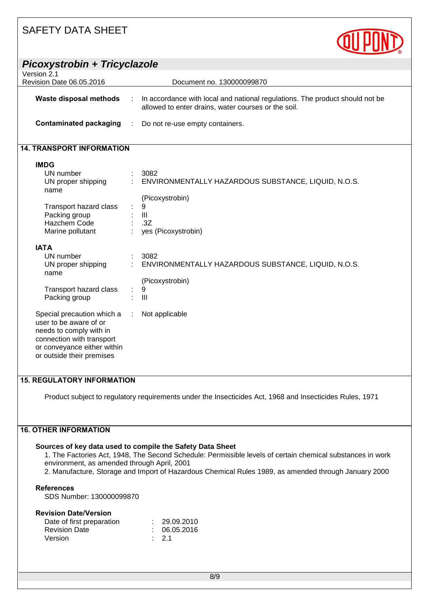| Picoxystrobin + Tricyclazole                                                                                                                                             |                                                                                                                                     |  |
|--------------------------------------------------------------------------------------------------------------------------------------------------------------------------|-------------------------------------------------------------------------------------------------------------------------------------|--|
| Version 2.1                                                                                                                                                              |                                                                                                                                     |  |
| Revision Date 06.05.2016                                                                                                                                                 | Document no. 130000099870                                                                                                           |  |
|                                                                                                                                                                          |                                                                                                                                     |  |
| <b>Waste disposal methods</b>                                                                                                                                            | In accordance with local and national regulations. The product should not be<br>allowed to enter drains, water courses or the soil. |  |
| <b>Contaminated packaging</b>                                                                                                                                            | Do not re-use empty containers.                                                                                                     |  |
| <b>14. TRANSPORT INFORMATION</b>                                                                                                                                         |                                                                                                                                     |  |
| <b>IMDG</b>                                                                                                                                                              |                                                                                                                                     |  |
| UN number                                                                                                                                                                | 3082                                                                                                                                |  |
| UN proper shipping<br>name                                                                                                                                               | ENVIRONMENTALLY HAZARDOUS SUBSTANCE, LIQUID, N.O.S.                                                                                 |  |
|                                                                                                                                                                          | (Picoxystrobin)                                                                                                                     |  |
| Transport hazard class                                                                                                                                                   | 9                                                                                                                                   |  |
| Packing group                                                                                                                                                            | $\mathbf{III}$                                                                                                                      |  |
| <b>Hazchem Code</b>                                                                                                                                                      | .3Z                                                                                                                                 |  |
| Marine pollutant                                                                                                                                                         | yes (Picoxystrobin)                                                                                                                 |  |
| <b>IATA</b>                                                                                                                                                              |                                                                                                                                     |  |
| UN number                                                                                                                                                                | 3082                                                                                                                                |  |
| UN proper shipping<br>name                                                                                                                                               | ENVIRONMENTALLY HAZARDOUS SUBSTANCE, LIQUID, N.O.S.                                                                                 |  |
|                                                                                                                                                                          | (Picoxystrobin)                                                                                                                     |  |
| Transport hazard class                                                                                                                                                   | 9                                                                                                                                   |  |
| Packing group                                                                                                                                                            | III                                                                                                                                 |  |
| Special precaution which a<br>user to be aware of or<br>needs to comply with in<br>connection with transport<br>or conveyance either within<br>or outside their premises | Not applicable                                                                                                                      |  |

#### **15. REGULATORY INFORMATION**

Product subject to regulatory requirements under the Insecticides Act, 1968 and Insecticides Rules, 1971

### **16. OTHER INFORMATION**

#### **Sources of key data used to compile the Safety Data Sheet**

1. The Factories Act, 1948, The Second Schedule: Permissible levels of certain chemical substances in work environment, as amended through April, 2001

2. Manufacture, Storage and Import of Hazardous Chemical Rules 1989, as amended through January 2000

#### **References**

SDS Number: 130000099870

#### **Revision Date/Version**

| Date of first preparation | : 29.09.2010     |
|---------------------------|------------------|
| <b>Revision Date</b>      | : 06.05.2016     |
| Version                   | $\therefore$ 2.1 |